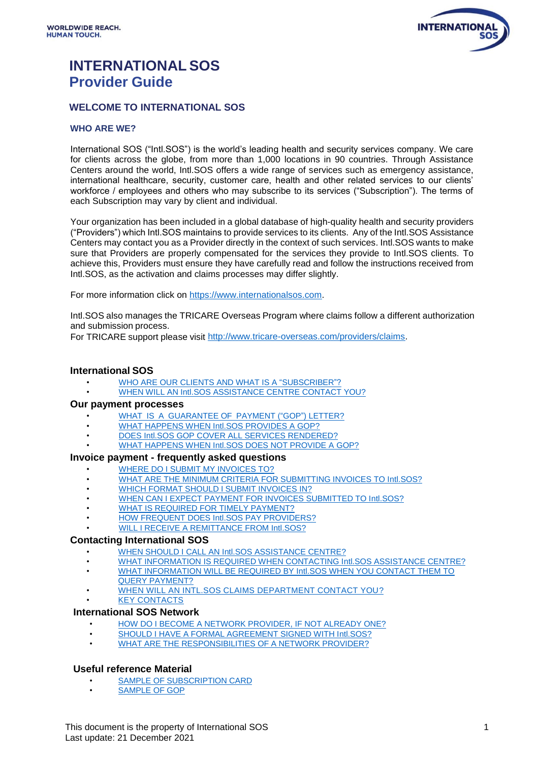

# **INTERNATIONAL SOS Provider Guide**

# **WELCOME TO INTERNATIONAL SOS**

# **WHO ARE WE?**

International SOS ("Intl.SOS") is the world's leading health and security services company. We care for clients across the globe, from more than 1,000 locations in 90 countries. Through Assistance Centers around the world, Intl.SOS offers a wide range of services such as emergency assistance, international healthcare, security, customer care, health and other related services to our clients' workforce / employees and others who may subscribe to its services ("Subscription"). The terms of each Subscription may vary by client and individual.

Your organization has been included in a global database of high-quality health and security providers ("Providers") which Intl.SOS maintains to provide services to its clients. Any of the Intl.SOS Assistance Centers may contact you as a Provider directly in the context of such services. Intl.SOS wants to make sure that Providers are properly compensated for the services they provide to Intl.SOS clients. To achieve this, Providers must ensure they have carefully read and follow the instructions received from Intl.SOS, as the activation and claims processes may differ slightly.

For more information click on [https://www.internationalsos.com.](https://www.internationalsos.com/)

Intl.SOS also manages the TRICARE Overseas Program where claims follow a different authorization and submission process.

For TRICARE support please visit [http://www.tricare-overseas.com/providers/claims.](http://www.tricare-overseas.com/providers/claims)

# **International SOS**

- WHO ARE OUR CLIENTS AND WHAT [IS A "SUBSCRIBER"?](#page-1-0)
- WHEN WILL AN Intl.SOS [ASSISTANCE](#page-1-1) CENTRE CONTACT YOU?

# **Our payment processes**

- WHAT IS A GUARANTEE OF [PAYMENT \("GOP"\) LETTER?](#page-1-2)
- WHAT HAPPENS WHEN Intl.SOS [PROVIDES](#page-2-0) A GOP?
- [DOES Intl.SOS](#page-2-1) GOP COVER ALL SERVICES RENDERED?
- WHAT [HAPPENS](#page-2-2) WHEN Intl.SOS DOES NOT PROVIDE A GOP?

# **Invoice payment - frequently asked questions**

- WHERE DO I SUBMIT MY [INVOICES](#page-2-3) TO?
- WHAT ARE [THE MINIMUM](#page-3-0) CRITERIA FOR SUBMITTING INVOICES TO Intl.SOS?
- **WHICH FORMAT SHOULD I SUBMIT [INVOICES](#page-3-1) IN?**
- WHEN CAN I EXPECT PAYMENT FOR INVOICES SUBMITTED [TO Intl.SOS?](#page-3-2)
- WHAT IS REQUIRED [FOR TIMELY](#page-3-3) PAYMENT?
- HOW FREQUENT DOES Intl.SOS PAY [PROVIDERS?](#page-3-4)
- WILL I RECEIVE A [REMITTANCE](#page-4-0) FROM Intl.SOS?

# **Contacting International SOS**

- WHEN SHOULD I CALL AN Intl.SOS [ASSISTANCE](#page-1-3) CENTRE?
- WHAT INFORMATION IS REQUIRED [WHEN CONTACTING](#page-4-1) Intl.SOS ASSISTANCE CENTRE?
- [WHAT INFORMATION WILL BE REQUIRED BY Intl.SOS WHEN YOU CONTACT THEM TO](#page-4-1)  [QUERY PAYMENT?](#page-4-1)
- 
- [WHEN WILL AN INTL.SOS CLAIMS DEPARTMENT CONTACT YOU?](#page-4-2)

#### **[KEY CONTACTS](#page-5-0) International SOS Network**

- HOW DO I BECOME A NETWORK [PROVIDER,](#page-4-3) IF NOT ALREADY ONE?
- SHOULD I HAVE A FORMAL [AGREEMENT](#page-4-4) SIGNED WITH Intl.SOS?
- [WHAT ARE THE RESPONSIBILITIES OF A NETWORK PROVIDER?](#page-4-5)

# **Useful reference Material**

- SAMPLE OF [SUBSCRIPTION CARD](#page-7-0)
- [SAMPLE](#page-6-0) OF GOP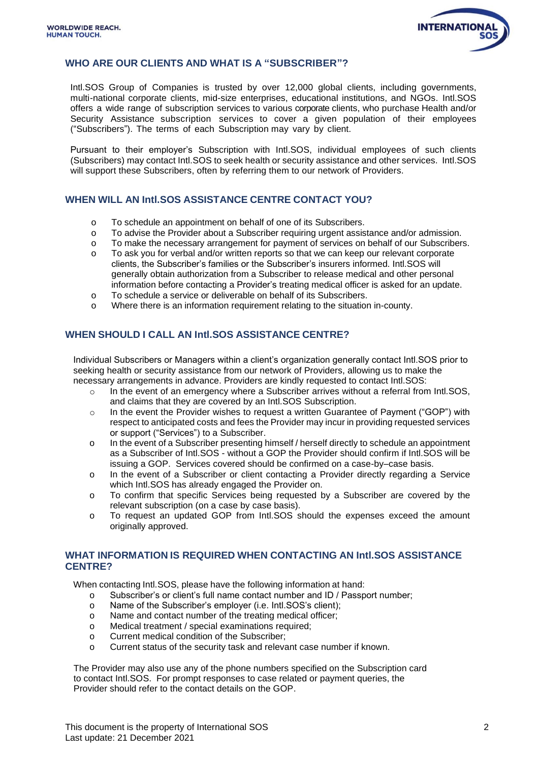<span id="page-1-1"></span>

#### **WHO ARE OUR CLIENTS AND WHAT IS A "SUBSCRIBER"?**

<span id="page-1-0"></span>Intl.SOS Group of Companies is trusted by over 12,000 global clients, including governments, multi-national corporate clients, mid-size enterprises, educational institutions, and NGOs. Intl.SOS offers a wide range of subscription services to various corporate clients, who purchase Health and/or Security Assistance subscription services to cover a given population of their employees ("Subscribers"). The terms of each Subscription may vary by client.

Pursuant to their employer's Subscription with Intl.SOS, individual employees of such clients (Subscribers) may contact Intl.SOS to seek health or security assistance and other services. Intl.SOS will support these Subscribers, often by referring them to our network of Providers.

#### **WHEN WILL AN Intl.SOS ASSISTANCE CENTRE CONTACT YOU?**

- o To schedule an appointment on behalf of one of its Subscribers.
- o To advise the Provider about a Subscriber requiring urgent assistance and/or admission.
- o To make the necessary arrangement for payment of services on behalf of our Subscribers.
- o To ask you for verbal and/or written reports so that we can keep our relevant corporate clients, the Subscriber's families or the Subscriber's insurers informed. Intl.SOS will generally obtain authorization from a Subscriber to release medical and other personal information before contacting a Provider's treating medical officer is asked for an update.
- o To schedule a service or deliverable on behalf of its Subscribers.
- o Where there is an information requirement relating to the situation in-county.

#### <span id="page-1-3"></span>**WHEN SHOULD I CALL AN Intl.SOS ASSISTANCE CENTRE?**

Individual Subscribers or Managers within a client's organization generally contact Intl.SOS prior to seeking health or security assistance from our network of Providers, allowing us to make the necessary arrangements in advance. Providers are kindly requested to contact Intl.SOS:

- o In the event of an emergency where a Subscriber arrives without a referral from Intl.SOS, and claims that they are covered by an Intl.SOS Subscription.
- o In the event the Provider wishes to request a written Guarantee of Payment ("GOP") with respect to anticipated costs and fees the Provider may incur in providing requested services or support ("Services") to a Subscriber.
- o In the event of a Subscriber presenting himself / herself directly to schedule an appointment as a Subscriber of Intl.SOS - without a GOP the Provider should confirm if Intl.SOS will be issuing a GOP. Services covered should be confirmed on a case-by–case basis.
- o In the event of a Subscriber or client contacting a Provider directly regarding a Service which Intl.SOS has already engaged the Provider on.
- o To confirm that specific Services being requested by a Subscriber are covered by the relevant subscription (on a case by case basis).
- o To request an updated GOP from Intl.SOS should the expenses exceed the amount originally approved.

#### **WHAT INFORMATION IS REQUIRED WHEN CONTACTING AN Intl.SOS ASSISTANCE CENTRE?**

When contacting Intl.SOS, please have the following information at hand:

- o Subscriber's or client's full name contact number and ID / Passport number;
- o Name of the Subscriber's employer (i.e. Intl.SOS's client);
- o Name and contact number of the treating medical officer;
- o Medical treatment / special examinations required;
- o Current medical condition of the Subscriber;
- <span id="page-1-2"></span>o Current status of the security task and relevant case number if known.

The Provider may also use any of the phone numbers specified on the Subscription card to contact Intl.SOS. For prompt responses to case related or payment queries, the Provider should refer to the contact details on the GOP.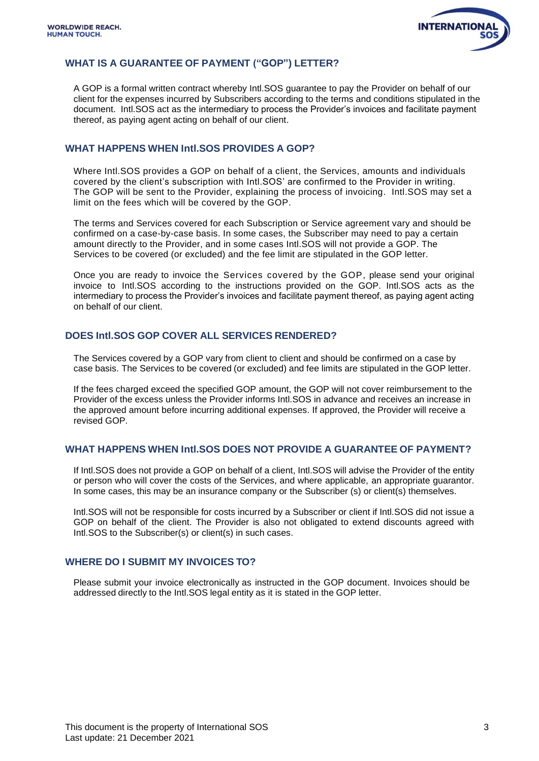

### **WHAT IS A GUARANTEE OF PAYMENT ("GOP") LETTER?**

<span id="page-2-0"></span>A GOP is a formal written contract whereby Intl.SOS guarantee to pay the Provider on behalf of our client for the expenses incurred by Subscribers according to the terms and conditions stipulated in the document. Intl.SOS act as the intermediary to process the Provider's invoices and facilitate payment thereof, as paying agent acting on behalf of our client.

### **WHAT HAPPENS WHEN Intl.SOS PROVIDES A GOP?**

Where Intl.SOS provides a GOP on behalf of a client, the Services, amounts and individuals covered by the client's subscription with Intl.SOS' are confirmed to the Provider in writing. The GOP will be sent to the Provider, explaining the process of invoicing. Intl.SOS may set a limit on the fees which will be covered by the GOP.

The terms and Services covered for each Subscription or Service agreement vary and should be confirmed on a case-by-case basis. In some cases, the Subscriber may need to pay a certain amount directly to the Provider, and in some cases Intl.SOS will not provide a GOP. The Services to be covered (or excluded) and the fee limit are stipulated in the GOP letter.

Once you are ready to invoice the Services covered by the GOP, please send your original invoice to Intl.SOS according to the instructions provided on the GOP. Intl.SOS acts as the intermediary to process the Provider's invoices and facilitate payment thereof, as paying agent acting on behalf of our client.

### <span id="page-2-1"></span>**DOES Intl.SOS GOP COVER ALL SERVICES RENDERED?**

The Services covered by a GOP vary from client to client and should be confirmed on a case by case basis. The Services to be covered (or excluded) and fee limits are stipulated in the GOP letter.

If the fees charged exceed the specified GOP amount, the GOP will not cover reimbursement to the Provider of the excess unless the Provider informs Intl.SOS in advance and receives an increase in the approved amount before incurring additional expenses. If approved, the Provider will receive a revised GOP.

### <span id="page-2-2"></span>**WHAT HAPPENS WHEN Intl.SOS DOES NOT PROVIDE A GUARANTEE OF PAYMENT?**

If Intl.SOS does not provide a GOP on behalf of a client, Intl.SOS will advise the Provider of the entity or person who will cover the costs of the Services, and where applicable, an appropriate guarantor. In some cases, this may be an insurance company or the Subscriber (s) or client(s) themselves.

Intl.SOS will not be responsible for costs incurred by a Subscriber or client if Intl.SOS did not issue a GOP on behalf of the client. The Provider is also not obligated to extend discounts agreed with Intl.SOS to the Subscriber(s) or client(s) in such cases.

### <span id="page-2-3"></span>**WHERE DO I SUBMIT MY INVOICES TO?**

Please submit your invoice electronically as instructed in the GOP document. Invoices should be addressed directly to the Intl.SOS legal entity as it is stated in the GOP letter.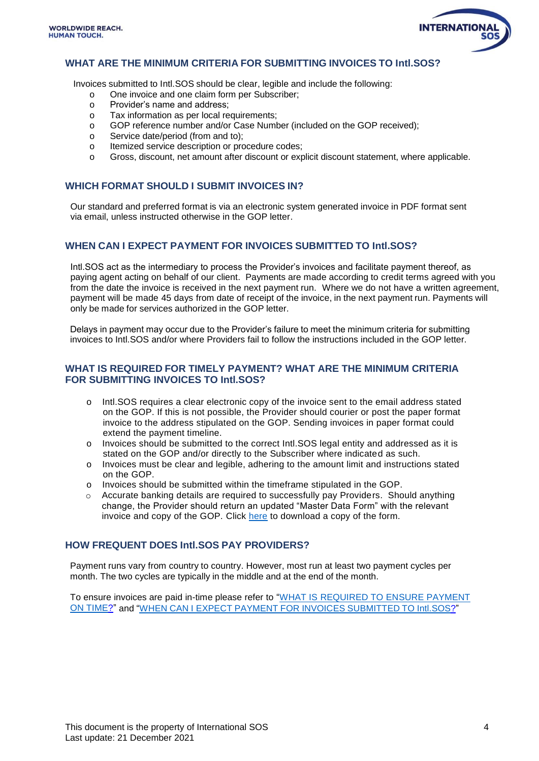<span id="page-3-3"></span><span id="page-3-1"></span>

## <span id="page-3-0"></span>**WHAT ARE THE MINIMUM CRITERIA FOR SUBMITTING INVOICES TO Intl.SOS?**

Invoices submitted to Intl.SOS should be clear, legible and include the following:

- o One invoice and one claim form per Subscriber;
- o Provider's name and address;
- o Tax information as per local requirements;
- o GOP reference number and/or Case Number (included on the GOP received);
- o Service date/period (from and to);
- o Itemized service description or procedure codes;
- <span id="page-3-2"></span>o Gross, discount, net amount after discount or explicit discount statement, where applicable.

#### **WHICH FORMAT SHOULD I SUBMIT INVOICES IN?**

Our standard and preferred format is via an electronic system generated invoice in PDF format sent via email, unless instructed otherwise in the GOP letter.

#### **WHEN CAN I EXPECT PAYMENT FOR INVOICES SUBMITTED TO Intl.SOS?**

Intl.SOS act as the intermediary to process the Provider's invoices and facilitate payment thereof, as paying agent acting on behalf of our client. Payments are made according to credit terms agreed with you from the date the invoice is received in the next payment run. Where we do not have a written agreement, payment will be made 45 days from date of receipt of the invoice, in the next payment run. Payments will only be made for services authorized in the GOP letter.

Delays in payment may occur due to the Provider's failure to meet the minimum criteria for submitting invoices to Intl.SOS and/or where Providers fail to follow the instructions included in the GOP letter.

#### **WHAT IS REQUIRED FOR TIMELY PAYMENT? WHAT ARE THE MINIMUM CRITERIA FOR SUBMITTING INVOICES TO Intl.SOS?**

- o Intl.SOS requires a clear electronic copy of the invoice sent to the email address stated on the GOP. If this is not possible, the Provider should courier or post the paper format invoice to the address stipulated on the GOP. Sending invoices in paper format could extend the payment timeline.
- o Invoices should be submitted to the correct Intl.SOS legal entity and addressed as it is stated on the GOP and/or directly to the Subscriber where indicated as such.
- o Invoices must be clear and legible, adhering to the amount limit and instructions stated on the GOP.
- o Invoices should be submitted within the timeframe stipulated in the GOP.
- Accurate banking details are required to successfully pay Providers. Should anything change, the Provider should return an updated "Master Data Form" with the relevant invoice and copy of the GOP. Click [here](https://www.internationalsos.com/-/jssmedia/Files/providers-master-data-form-v-22.pdf) to download a copy of the form.

#### <span id="page-3-4"></span>**HOW FREQUENT DOES Intl.SOS PAY PROVIDERS?**

Payment runs vary from country to country. However, most run at least two payment cycles per month. The two cycles are typically in the middle and at the end of the month.

To ensure invoices are paid in-time please refer to "WHAT IS [REQUIRED](#page-3-3) TO ENSURE PAYMENT ON [TIME?](#page-3-3)" and "WHEN CAN I EXPECT PAYMENT FOR INVOICES [SUBMITTED](#page-3-2) TO Intl.SOS?"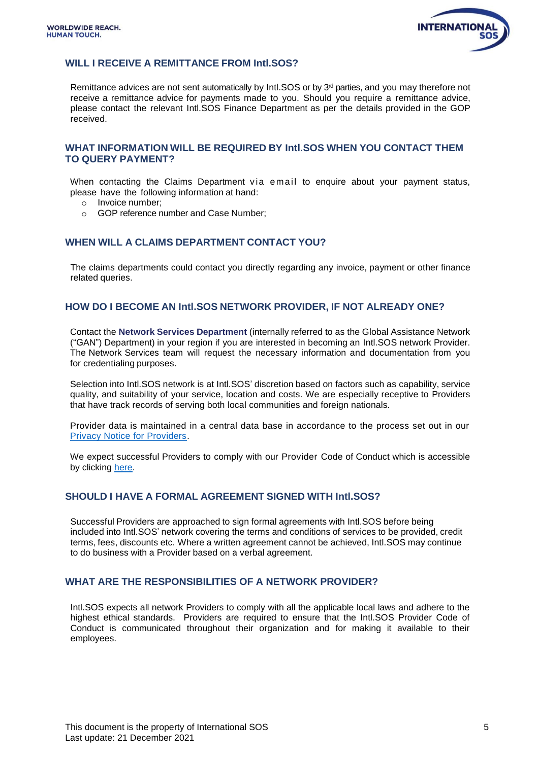

### <span id="page-4-0"></span>**WILL I RECEIVE A REMITTANCE FROM Intl.SOS?**

<span id="page-4-1"></span>Remittance advices are not sent automatically by Intl. SOS or by  $3<sup>rd</sup>$  parties, and you may therefore not receive a remittance advice for payments made to you. Should you require a remittance advice, please contact the relevant Intl.SOS Finance Department as per the details provided in the GOP received.

#### **WHAT INFORMATION WILL BE REQUIRED BY Intl.SOS WHEN YOU CONTACT THEM TO QUERY PAYMENT?**

When contacting the Claims Department via email to enquire about your payment status, please have the following information at hand:

- o Invoice number;
- o GOP reference number and Case Number;

#### <span id="page-4-2"></span>**WHEN WILL A CLAIMS DEPARTMENT CONTACT YOU?**

The claims departments could contact you directly regarding any invoice, payment or other finance related queries.

#### <span id="page-4-3"></span>**HOW DO I BECOME AN Intl.SOS NETWORK PROVIDER, IF NOT ALREADY ONE?**

Contact the **Network Services Department** (internally referred to as the Global Assistance Network ("GAN") Department) in your region if you are interested in becoming an Intl.SOS network Provider. The Network Services team will request the necessary information and documentation from you for credentialing purposes.

Selection into Intl.SOS network is at Intl.SOS' discretion based on factors such as capability, service quality, and suitability of your service, location and costs. We are especially receptive to Providers that have track records of serving both local communities and foreign nationals.

Provider data is maintained in a central data base in accordance to the process set out in our [Privacy Notice for Providers.](https://www.internationalsos.com/-/jssmedia/MainSite/media/policies/l-3-grp-gan-privacy-notice-for-providers.pdf)

We expect successful Providers to comply with our Provider Code of Conduct which is accessible by clicking [here.](https://www.internationalsos.com/-/jssmedia/Files/Provider-Code-of-Conduct/providers-code-of-conduct-english.pdf)

#### <span id="page-4-4"></span>**SHOULD I HAVE A FORMAL AGREEMENT SIGNED WITH Intl.SOS?**

Successful Providers are approached to sign formal agreements with Intl.SOS before being included into Intl.SOS' network covering the terms and conditions of services to be provided, credit terms, fees, discounts etc. Where a written agreement cannot be achieved, Intl.SOS may continue to do business with a Provider based on a verbal agreement.

### <span id="page-4-5"></span>**WHAT ARE THE RESPONSIBILITIES OF A NETWORK PROVIDER?**

Intl.SOS expects all network Providers to comply with all the applicable local laws and adhere to the highest ethical standards. Providers are required to ensure that the Intl.SOS Provider Code of Conduct is communicated throughout their organization and for making it available to their employees.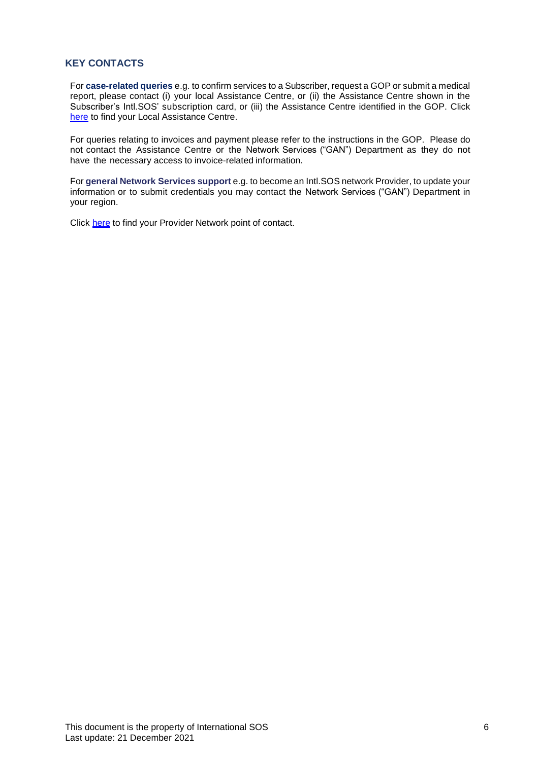### <span id="page-5-0"></span>**KEY CONTACTS**

For **case-related queries** e.g. to confirm services to a Subscriber, request a GOP or submit a medical report, please contact (i) your local Assistance Centre, or (ii) the Assistance Centre shown in the Subscriber's Intl.SOS' subscription card, or (iii) the Assistance Centre identified in the GOP. Click [here](https://www.internationalsos.com/locations) to find your Local Assistance Centre.

For queries relating to invoices and payment please refer to the instructions in the GOP. Please do not contact the Assistance Centre or the Network Services ("GAN") Department as they do not have the necessary access to invoice-related information.

For **general Network Services support** e.g. to become an Intl.SOS network Provider, to update your information or to submit credentials you may contact the Network Services ("GAN") Department in your region.

Click [here](https://www.internationalsos.com/-/jssmedia/Files/provider-network-point-of-contact-for-provider-page.pdf) to find your Provider Network point of contact.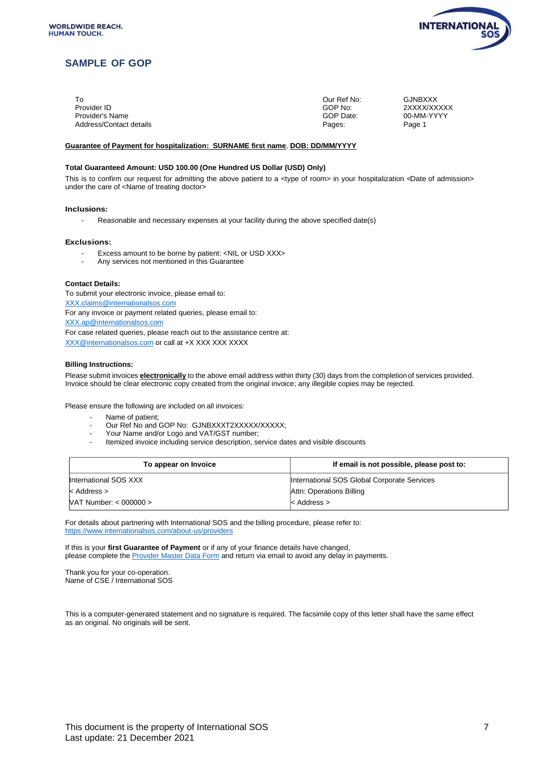

### **SAMPLE OF GOP**

<span id="page-6-0"></span>

| Т٥                      | Our Ref No: | <b>GJNBXXX</b> |
|-------------------------|-------------|----------------|
| Provider ID             | GOP No:     | 2XXXX/XXXXX    |
| Provider's Name         | GOP Date:   | 00-MM-YYYY     |
| Address/Contact details | Pages:      | Page 1         |

#### **Guarantee of Payment for hospitalization: SURNAME first name**, **DOB: DD/MM/YYYY**

#### **Total Guaranteed Amount: USD 100.00 (One Hundred US Dollar (USD) Only)**

This is to confirm our request for admitting the above patient to a <type of room> in your hospitalization <Date of admission> under the care of <Name of treating doctor>

#### **Inclusions:**

- Reasonable and necessary expenses at your facility during the above specified date(s)

#### **Exclusions:**

- Excess amount to be borne by patient: <NIL or USD XXX>
- Any services not mentioned in this Guarantee

#### **Contact Details:**

To submit your electronic invoice, please email to: [XXX.claims@internationalsos.com](mailto:XXX.claims@internationalsos.com) For any invoice or payment related queries, please email to: [XXX.ap@internationalsos.com](mailto:XXX.ap@internationalsos.com) For case related queries, please reach out to the assistance centre at: [XXX@internationalsos.com](mailto:XXX@internationalsos.com) or call at +X XXX XXX XXXX

#### **Billing Instructions:**

Please submit invoices **electronically** to the above email address within thirty (30) days from the completionof services provided. Invoice should be clear electronic copy created from the original invoice; any illegible copies may be rejected.

Please ensure the following are included on all invoices:

- Name of patient;
- Our Ref No and GOP No: GJNBXXXT2XXXXX/XXXXX;
- Your Name and/or Logo and VAT/GST number;
- Itemized invoice including service description, service dates and visible discounts

| To appear on Invoice       | If email is not possible, please post to:   |  |
|----------------------------|---------------------------------------------|--|
| International SOS XXX      | International SOS Global Corporate Services |  |
| $<$ Address $>$            | Attn: Operations Billing                    |  |
| $NAT$ Number: $< 000000$ > | $\leq$ Address $>$                          |  |

For details about partnering with International SOS and the billing procedure, please refer to: <https://www.internationalsos.com/about-us/providers>

If this is your **first Guarantee of Payment** or if any of your finance details have changed, please complete the [Provider Master Data Form](https://www.internationalsos.com/-/jssmedia/Files/providers-master-data-form-v-22.pdf) and return via email to avoid any delay in payments.

Thank you for your co-operation. Name of CSE / International SOS

This is a computer-generated statement and no signature is required. The facsimile copy of this letter shall have the same effect as an original. No originals will be sent.